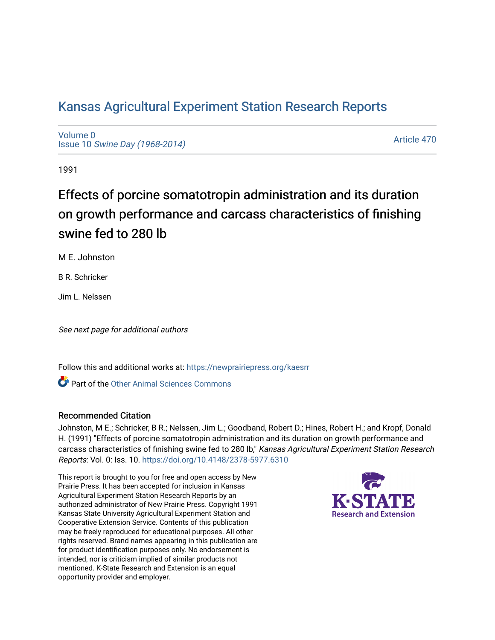# [Kansas Agricultural Experiment Station Research Reports](https://newprairiepress.org/kaesrr)

[Volume 0](https://newprairiepress.org/kaesrr/vol0) Issue 10 [Swine Day \(1968-2014\)](https://newprairiepress.org/kaesrr/vol0/iss10)

[Article 470](https://newprairiepress.org/kaesrr/vol0/iss10/470) 

1991

# Effects of porcine somatotropin administration and its duration on growth performance and carcass characteristics of finishing swine fed to 280 lb

M E. Johnston

B R. Schricker

Jim L. Nelssen

See next page for additional authors

Follow this and additional works at: [https://newprairiepress.org/kaesrr](https://newprairiepress.org/kaesrr?utm_source=newprairiepress.org%2Fkaesrr%2Fvol0%2Fiss10%2F470&utm_medium=PDF&utm_campaign=PDFCoverPages) 

**C** Part of the [Other Animal Sciences Commons](http://network.bepress.com/hgg/discipline/82?utm_source=newprairiepress.org%2Fkaesrr%2Fvol0%2Fiss10%2F470&utm_medium=PDF&utm_campaign=PDFCoverPages)

### Recommended Citation

Johnston, M E.; Schricker, B R.; Nelssen, Jim L.; Goodband, Robert D.; Hines, Robert H.; and Kropf, Donald H. (1991) "Effects of porcine somatotropin administration and its duration on growth performance and carcass characteristics of finishing swine fed to 280 lb," Kansas Agricultural Experiment Station Research Reports: Vol. 0: Iss. 10.<https://doi.org/10.4148/2378-5977.6310>

This report is brought to you for free and open access by New Prairie Press. It has been accepted for inclusion in Kansas Agricultural Experiment Station Research Reports by an authorized administrator of New Prairie Press. Copyright 1991 Kansas State University Agricultural Experiment Station and Cooperative Extension Service. Contents of this publication may be freely reproduced for educational purposes. All other rights reserved. Brand names appearing in this publication are for product identification purposes only. No endorsement is intended, nor is criticism implied of similar products not mentioned. K-State Research and Extension is an equal opportunity provider and employer.

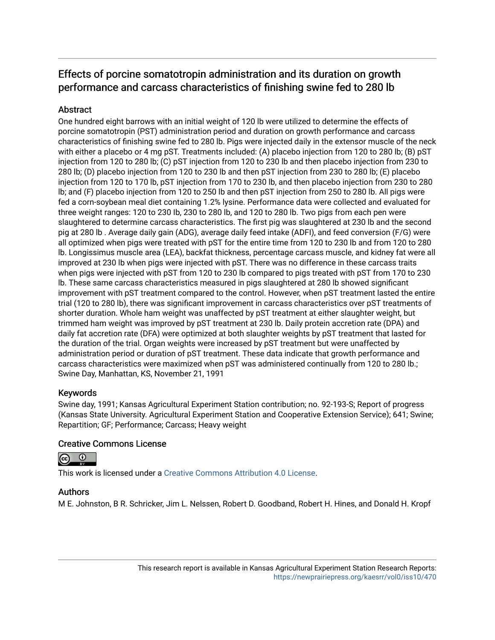## Effects of porcine somatotropin administration and its duration on growth performance and carcass characteristics of finishing swine fed to 280 lb

## Abstract

One hundred eight barrows with an initial weight of 120 lb were utilized to determine the effects of porcine somatotropin (PST) administration period and duration on growth performance and carcass characteristics of finishing swine fed to 280 lb. Pigs were injected daily in the extensor muscle of the neck with either a placebo or 4 mg pST. Treatments included: (A) placebo injection from 120 to 280 lb; (B) pST injection from 120 to 280 lb; (C) pST injection from 120 to 230 lb and then placebo injection from 230 to 280 lb; (D) placebo injection from 120 to 230 lb and then pST injection from 230 to 280 lb; (E) placebo injection from 120 to 170 lb, pST injection from 170 to 230 lb, and then placebo injection from 230 to 280 lb; and (F) placebo injection from 120 to 250 lb and then pST injection from 250 to 280 lb. All pigs were fed a corn-soybean meal diet containing 1.2% lysine. Performance data were collected and evaluated for three weight ranges: 120 to 230 Ib, 230 to 280 lb, and 120 to 280 lb. Two pigs from each pen were slaughtered to determine carcass characteristics. The first pig was slaughtered at 230 lb and the second pig at 280 lb . Average daily gain (ADG), average daily feed intake (ADFI), and feed conversion (F/G) were all optimized when pigs were treated with pST for the entire time from 120 to 230 lb and from 120 to 280 lb. Longissimus muscle area (LEA), backfat thickness, percentage carcass muscle, and kidney fat were all improved at 230 lb when pigs were injected with pST. There was no difference in these carcass traits when pigs were injected with pST from 120 to 230 lb compared to pigs treated with pST from 170 to 230 lb. These same carcass characteristics measured in pigs slaughtered at 280 lb showed significant improvement with pST treatment compared to the control. However, when pST treatment lasted the entire trial (120 to 280 lb), there was significant improvement in carcass characteristics over pST treatments of shorter duration. Whole ham weight was unaffected by pST treatment at either slaughter weight, but trimmed ham weight was improved by pST treatment at 230 lb. Daily protein accretion rate (DPA) and daily fat accretion rate (DFA) were optimized at both slaughter weights by pST treatment that lasted for the duration of the trial. Organ weights were increased by pST treatment but were unaffected by administration period or duration of pST treatment. These data indicate that growth performance and carcass characteristics were maximized when pST was administered continually from 120 to 280 lb.; Swine Day, Manhattan, KS, November 21, 1991

## Keywords

Swine day, 1991; Kansas Agricultural Experiment Station contribution; no. 92-193-S; Report of progress (Kansas State University. Agricultural Experiment Station and Cooperative Extension Service); 641; Swine; Repartition; GF; Performance; Carcass; Heavy weight

## Creative Commons License



This work is licensed under a [Creative Commons Attribution 4.0 License](https://creativecommons.org/licenses/by/4.0/).

## Authors

M E. Johnston, B R. Schricker, Jim L. Nelssen, Robert D. Goodband, Robert H. Hines, and Donald H. Kropf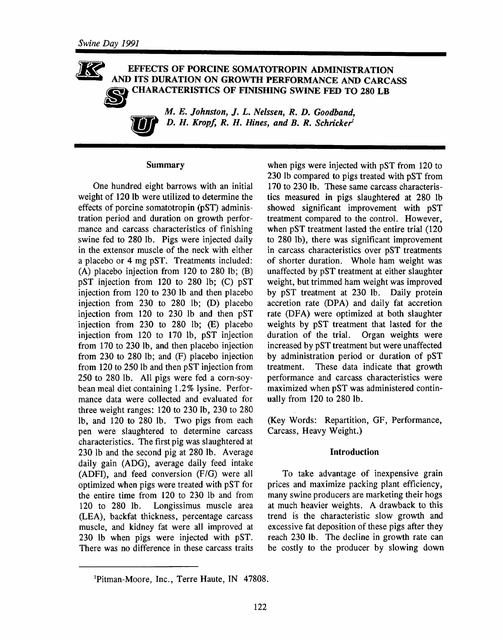#### $\mathcal{K}$ EFFECTS OF PORCINE SOMATOTROPIN ADMINISTRATION AND ITS DURATION ON GROWTH PERFORMANCE AND CARCASS **CHARACTERISTICS OF FINISHING SWINE FED TO 280 LB**

M. E. Johnston, J. L. Nelssen, R. D. Goodband, D. H. Kropf, R. H. Hines, and B. R. Schricker<sup>1</sup>

#### **Summary**

One hundred eight barrows with an initial weight of 120 lb were utilized to determine the effects of porcine somatotropin (pST) administration period and duration on growth performance and carcass characteristics of finishing swine fed to 280 lb. Pigs were injected daily in the extensor muscle of the neck with either a placebo or 4 mg pST. Treatments included: (A) placebo injection from 120 to 280 lb;  $(B)$ pST injection from 120 to 280 lb; (C) pST injection from 120 to 230 lb and then placebo injection from 230 to 280 lb; (D) placebo injection from 120 to 230 lb and then pST injection from 230 to 280 lb; (E) placebo injection from 120 to 170 lb, pST injection from 170 to 230 lb, and then placebo injection from 230 to 280 lb; and (F) placebo injection from 120 to 250 lb and then pST injection from 250 to 280 lb. All pigs were fed a corn-soybean meal diet containing 1.2% lysine. Performance data were collected and evaluated for three weight ranges: 120 to 230 lb, 230 to 280 lb, and 120 to 280 lb. Two pigs from each pen were slaughtered to determine carcass characteristics. The first pig was slaughtered at 230 lb and the second pig at 280 lb. Average daily gain (ADG), average daily feed intake (ADFI), and feed conversion (F/G) were all optimized when pigs were treated with pST for the entire time from 120 to 230 lb and from Longissimus muscle area 120 to 280 lb. (LEA), backfat thickness, percentage carcass muscle, and kidney fat were all improved at 230 lb when pigs were injected with pST. There was no difference in these carcass traits

when pigs were injected with pST from 120 to 230 lb compared to pigs treated with pST from 170 to 230 lb. These same carcass characteristics measured in pigs slaughtered at 280 lb showed significant improvement with pST treatment compared to the control. However, when pST treatment lasted the entire trial (120 to 280 lb), there was significant improvement in carcass characteristics over pST treatments of shorter duration. Whole ham weight was unaffected by pST treatment at either slaughter weight, but trimmed ham weight was improved by pST treatment at 230 lb. Daily protein accretion rate (DPA) and daily fat accretion rate (DFA) were optimized at both slaughter weights by pST treatment that lasted for the duration of the trial. Organ weights were increased by pST treatment but were unaffected by administration period or duration of pST treatment. These data indicate that growth performance and carcass characteristics were maximized when pST was administered continually from 120 to 280 lb.

(Key Words: Repartition, GF, Performance, Carcass, Heavy Weight.)

#### Introduction

To take advantage of inexpensive grain prices and maximize packing plant efficiency, many swine producers are marketing their hogs at much heavier weights. A drawback to this trend is the characteristic slow growth and excessive fat deposition of these pigs after they reach 230 lb. The decline in growth rate can be costly to the producer by slowing down

<sup>&</sup>lt;sup>1</sup>Pitman-Moore, Inc., Terre Haute, IN 47808.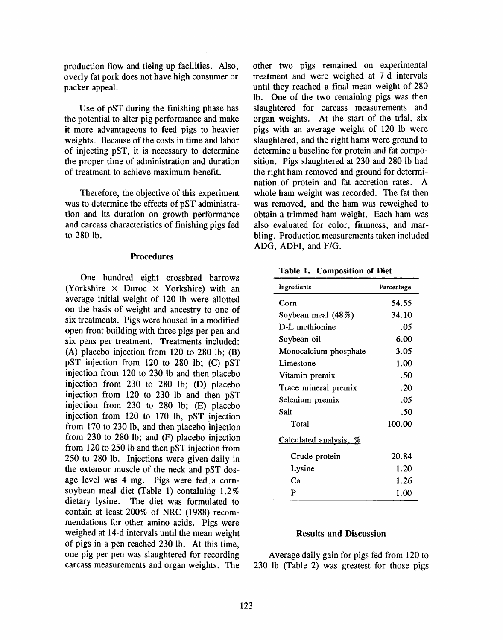production flow and tieing up facilities. Also, overly fat pork does not have high consumer or packer appeal.

Use of pST during the finishing phase has the potential to alter pig performance and make it more advantageous to feed pigs to heavier weights. Because of the costs in time and labor of injecting pST, it is necessary to determine the proper time of administration and duration of treatment to achieve maximum benefit.

Therefore, the objective of this experiment was to determine the effects of pST administration and its duration on growth performance and carcass characteristics of finishing pigs fed to 280 lb.

#### **Procedures**

One hundred eight crossbred barrows (Yorkshire  $\times$  Duroc  $\times$  Yorkshire) with an average initial weight of 120 lb were allotted on the basis of weight and ancestry to one of six treatments. Pigs were housed in a modified open front building with three pigs per pen and six pens per treatment. Treatments included: (A) placebo injection from 120 to 280 lb;  $(B)$ pST injection from 120 to 280 lb; (C) pST injection from 120 to 230 lb and then placebo injection from 230 to 280 lb; (D) placebo injection from 120 to 230 lb and then pST injection from 230 to 280 lb; (E) placebo injection from 120 to 170 lb, pST injection from 170 to 230 lb, and then placebo injection from 230 to 280 lb; and (F) placebo injection from 120 to 250 lb and then pST injection from 250 to 280 lb. Injections were given daily in the extensor muscle of the neck and pST dosage level was 4 mg. Pigs were fed a cornsoybean meal diet (Table 1) containing 1.2% dietary lysine. The diet was formulated to contain at least 200% of NRC (1988) recommendations for other amino acids. Pigs were weighed at 14-d intervals until the mean weight of pigs in a pen reached 230 lb. At this time, one pig per pen was slaughtered for recording carcass measurements and organ weights. The other two pigs remained on experimental treatment and were weighed at 7-d intervals until they reached a final mean weight of 280 lb. One of the two remaining pigs was then slaughtered for carcass measurements and organ weights. At the start of the trial, six pigs with an average weight of 120 lb were slaughtered, and the right hams were ground to determine a baseline for protein and fat composition. Pigs slaughtered at 230 and 280 lb had the right ham removed and ground for determination of protein and fat accretion rates. A whole ham weight was recorded. The fat then was removed, and the ham was reweighed to obtain a trimmed ham weight. Each ham was also evaluated for color, firmness, and marbling. Production measurements taken included ADG, ADFI, and F/G.

Table 1. Composition of Diet

| Ingredients            | Percentage |
|------------------------|------------|
| Corn                   | 54.55      |
| Soybean meal (48%)     | 34.10      |
| D-L methionine         | .05        |
| Soybean oil            | 6.00       |
| Monocalcium phosphate  | 3.05       |
| Limestone              | 1.00       |
| Vitamin premix         | .50        |
| Trace mineral premix   | .20        |
| Selenium premix        | .05        |
| Salt                   | .50        |
| Total                  | 100.00     |
| Calculated analysis, % |            |
| Crude protein          | 20.84      |
| Lysine                 | 1.20       |
| Ca                     | 1.26       |
| P                      | 1.00       |

#### **Results and Discussion**

Average daily gain for pigs fed from 120 to 230 lb (Table 2) was greatest for those pigs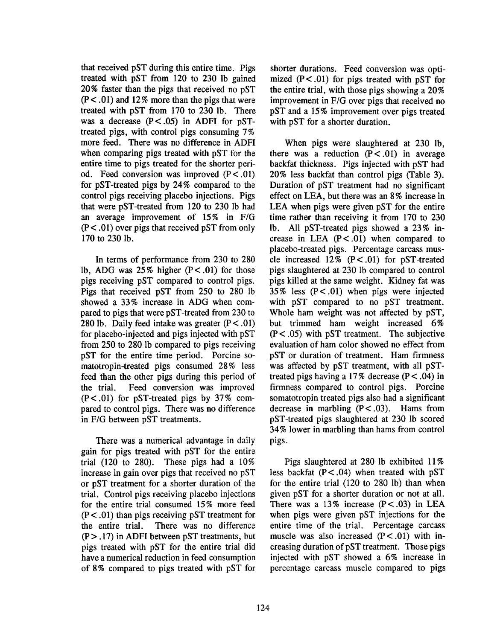that received pST during this entire time. Pigs treated with pST from 120 to 230 lb gained 20% faster than the pigs that received no pST  $(P<.01)$  and 12% more than the pigs that were treated with pST from 170 to 230 lb. There was a decrease  $(P < .05)$  in ADFI for pSTtreated pigs, with control pigs consuming 7% more feed. There was no difference in ADFI when comparing pigs treated with pST for the entire time to pigs treated for the shorter period. Feed conversion was improved  $(P < .01)$ for pST-treated pigs by 24% compared to the control pigs receiving placebo injections. Pigs that were pST-treated from 120 to 230 lb had an average improvement of 15% in F/G  $(P<.01)$  over pigs that received pST from only 170 to 230 lb.

In terms of performance from 230 to 280 lb, ADG was  $25\%$  higher (P<.01) for those pigs receiving pST compared to control pigs. Pigs that received pST from 250 to 280 lb showed a 33% increase in ADG when compared to pigs that were pST-treated from 230 to 280 lb. Daily feed intake was greater  $(P < .01)$ for placebo-injected and pigs injected with pST from 250 to 280 lb compared to pigs receiving pST for the entire time period. Porcine somatotropin-treated pigs consumed 28% less feed than the other pigs during this period of Feed conversion was improved the trial.  $(P<.01)$  for pST-treated pigs by 37% compared to control pigs. There was no difference in F/G between pST treatments.

There was a numerical advantage in daily gain for pigs treated with pST for the entire trial  $(120 \text{ to } 280)$ . These pigs had a  $10\%$ increase in gain over pigs that received no pST or pST treatment for a shorter duration of the trial. Control pigs receiving placebo injections for the entire trial consumed 15% more feed  $(P<.01)$  than pigs receiving pST treatment for the entire trial. There was no difference  $(P > .17)$  in ADFI between pST treatments, but pigs treated with pST for the entire trial did have a numerical reduction in feed consumption of 8% compared to pigs treated with pST for shorter durations. Feed conversion was optimized  $(P < .01)$  for pigs treated with pST for the entire trial, with those pigs showing a 20% improvement in F/G over pigs that received no pST and a 15% improvement over pigs treated with pST for a shorter duration.

When pigs were slaughtered at 230 lb, there was a reduction  $(P < .01)$  in average backfat thickness. Pigs injected with pST had 20% less backfat than control pigs (Table 3). Duration of pST treatment had no significant effect on LEA, but there was an 8% increase in LEA when pigs were given pST for the entire time rather than receiving it from 170 to 230 lb. All pST-treated pigs showed a 23% increase in LEA  $(P < .01)$  when compared to placebo-treated pigs. Percentage carcass muscle increased  $12\%$  (P < .01) for pST-treated pigs slaughtered at 230 lb compared to control pigs killed at the same weight. Kidney fat was 35% less  $(P < .01)$  when pigs were injected with pST compared to no pST treatment. Whole ham weight was not affected by pST, but trimmed ham weight increased 6%  $(P < .05)$  with pST treatment. The subjective evaluation of ham color showed no effect from pST or duration of treatment. Ham firmness was affected by pST treatment, with all pSTtreated pigs having a 17% decrease ( $P < .04$ ) in firmness compared to control pigs. Porcine somatotropin treated pigs also had a significant decrease in marbling  $(P < .03)$ . Hams from pST-treated pigs slaughtered at 230 lb scored 34% lower in marbling than hams from control pigs.

Pigs slaughtered at 280 lb exhibited 11% less backfat  $(P < .04)$  when treated with pST for the entire trial (120 to 280 lb) than when given pST for a shorter duration or not at all. There was a 13% increase  $(P < .03)$  in LEA when pigs were given pST injections for the entire time of the trial. Percentage carcass muscle was also increased  $(P < .01)$  with increasing duration of pST treatment. Those pigs injected with pST showed a 6% increase in percentage carcass muscle compared to pigs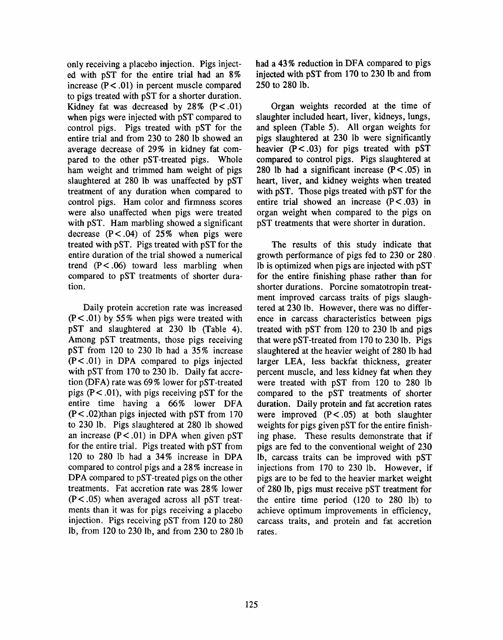only receiving a placebo injection. Pigs injected with pST for the entire trial had an 8% increase  $(P < .01)$  in percent muscle compared to pigs treated with pST for a shorter duration. Kidney fat was decreased by  $28\%$  (P < .01) when pigs were injected with pST compared to control pigs. Pigs treated with pST for the entire trial and from 230 to 280 lb showed an average decrease of 29% in kidney fat compared to the other pST-treated pigs. Whole ham weight and trimmed ham weight of pigs slaughtered at 280 lb was unaffected by pST treatment of any duration when compared to control pigs. Ham color and firmness scores were also unaffected when pigs were treated with pST. Ham marbling showed a significant decrease  $(P < .04)$  of 25% when pigs were treated with pST. Pigs treated with pST for the entire duration of the trial showed a numerical trend  $(P < .06)$  toward less marbling when compared to pST treatments of shorter duration.

Daily protein accretion rate was increased  $(P<.01)$  by 55% when pigs were treated with pST and slaughtered at 230 lb (Table 4). Among pST treatments, those pigs receiving pST from 120 to 230 lb had a 35% increase  $(P < .01)$  in DPA compared to pigs injected with pST from 170 to 230 lb. Daily fat accretion (DFA) rate was 69% lower for pST-treated pigs  $(P < .01)$ , with pigs receiving pST for the entire time having a 66% lower DFA  $(P < .02)$ than pigs injected with pST from 170 to 230 lb. Pigs slaughtered at 280 lb showed an increase  $(P < .01)$  in DPA when given pST for the entire trial. Pigs treated with pST from 120 to 280 lb had a 34% increase in DPA compared to control pigs and a 28% increase in DPA compared to pST-treated pigs on the other treatments. Fat accretion rate was 28% lower  $(P < .05)$  when averaged across all pST treatments than it was for pigs receiving a placebo injection. Pigs receiving pST from 120 to 280 lb, from 120 to 230 lb, and from 230 to 280 lb had a 43% reduction in DFA compared to pigs injected with pST from 170 to 230 lb and from 250 to 280 lb.

Organ weights recorded at the time of slaughter included heart, liver, kidneys, lungs, and spleen (Table 5). All organ weights for pigs slaughtered at 230 lb were significantly heavier  $(P < .03)$  for pigs treated with pST compared to control pigs. Pigs slaughtered at 280 lb had a significant increase  $(P < .05)$  in heart, liver, and kidney weights when treated with pST. Those pigs treated with pST for the entire trial showed an increase  $(P < .03)$  in organ weight when compared to the pigs on pST treatments that were shorter in duration.

The results of this study indicate that growth performance of pigs fed to 230 or 280. lb is optimized when pigs are injected with pST for the entire finishing phase rather than for shorter durations. Porcine somatotropin treatment improved carcass traits of pigs slaughtered at 230 lb. However, there was no difference in carcass characteristics between pigs treated with pST from 120 to 230 lb and pigs that were pST-treated from 170 to 230 lb. Pigs slaughtered at the heavier weight of 280 lb had larger LEA, less backfat thickness, greater percent muscle, and less kidney fat when they were treated with pST from 120 to 280 lb compared to the pST treatments of shorter duration. Daily protein and fat accretion rates were improved  $(P < .05)$  at both slaughter weights for pigs given pST for the entire finishing phase. These results demonstrate that if pigs are fed to the conventional weight of 230 lb, carcass traits can be improved with pST injections from 170 to 230 lb. However, if pigs are to be fed to the heavier market weight of 280 lb, pigs must receive pST treatment for the entire time period (120 to 280 lb) to achieve optimum improvements in efficiency, carcass traits, and protein and fat accretion rates.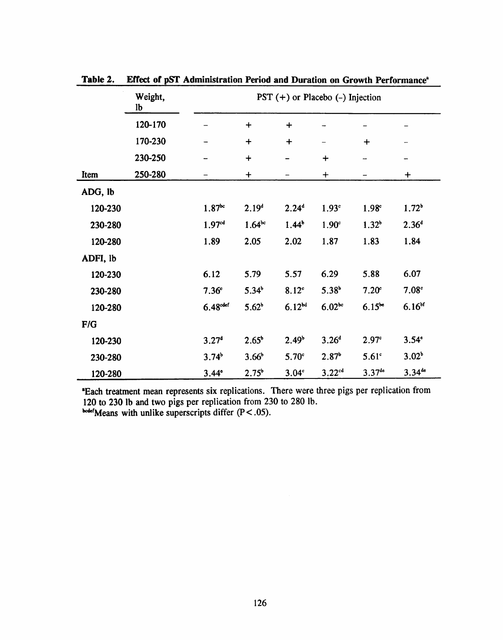|          | Weight,<br>lb | PST $(+)$ or Placebo $(-)$ Injection |                   |                   |                   |                   |                    |
|----------|---------------|--------------------------------------|-------------------|-------------------|-------------------|-------------------|--------------------|
|          | 120-170       |                                      | $\ddag$           | $\ddot{}$         |                   |                   |                    |
|          | 170-230       |                                      | $\bm{+}$          | $\ddag$           |                   | $\ddag$           |                    |
|          | 230-250       |                                      | $\ddot{}$         |                   | $\ddot{}$         |                   | -                  |
| Item     | 250-280       |                                      | $\ddot{}$         |                   | $\ddag$           |                   | $\ddot{}$          |
| ADG, lb  |               |                                      |                   |                   |                   |                   |                    |
| 120-230  |               | $1.87^{bc}$                          | 2.19 <sup>d</sup> | $2.24^{d}$        | 1.93 <sup>c</sup> | 1.98 <sup>c</sup> | 1.72 <sup>b</sup>  |
| 230-280  |               | 1.97 <sup>cd</sup>                   | $1.64^{bc}$       | $1.44^b$          | 1.90 <sup>c</sup> | 1.32 <sup>b</sup> | 2.36 <sup>d</sup>  |
| 120-280  |               | 1.89                                 | 2.05              | 2.02              | 1.87              | 1.83              | 1.84               |
| ADFI, lb |               |                                      |                   |                   |                   |                   |                    |
| 120-230  |               | 6.12                                 | 5.79              | 5.57              | 6.29              | 5.88              | 6.07               |
| 230-280  |               | 7.36 <sup>c</sup>                    | $5.34^b$          | 8.12 <sup>c</sup> | 5.38 <sup>b</sup> | 7.20 <sup>c</sup> | 7.08 <sup>c</sup>  |
| 120-280  |               | 6.48 <sup>cdef</sup>                 | $5.62^b$          | $6.12^{bd}$       | $6.02^{bc}$       | $6.15^{be}$       | 6.16 <sup>bf</sup> |
| F/G      |               |                                      |                   |                   |                   |                   |                    |
| 120-230  |               | 3.27 <sup>d</sup>                    | $2.65^{\circ}$    | 2.49 <sup>b</sup> | 3.26 <sup>d</sup> | $2.97^{\circ}$    | $3.54^\circ$       |
| 230-280  |               | 3.74 <sup>b</sup>                    | 3.66 <sup>b</sup> | 5.70 <sup>c</sup> | 2.87 <sup>b</sup> | 5.61 <sup>c</sup> | 3.02 <sup>b</sup>  |
| 120-280  |               | $3.44^{\circ}$                       | $2.75^{\circ}$    | 3.04 <sup>c</sup> | $3.22^{cd}$       | $3.37^{de}$       | $3.34^{de}$        |

Effect of pST Administration Period and Duration on Growth Performance<sup>a</sup> Table 2.

\*Each treatment mean represents six replications. There were three pigs per replication from 120 to 230 lb and two pigs per replication from 230 to 280 lb.<br>bode/Means with unlike superscripts differ  $(P < .05)$ .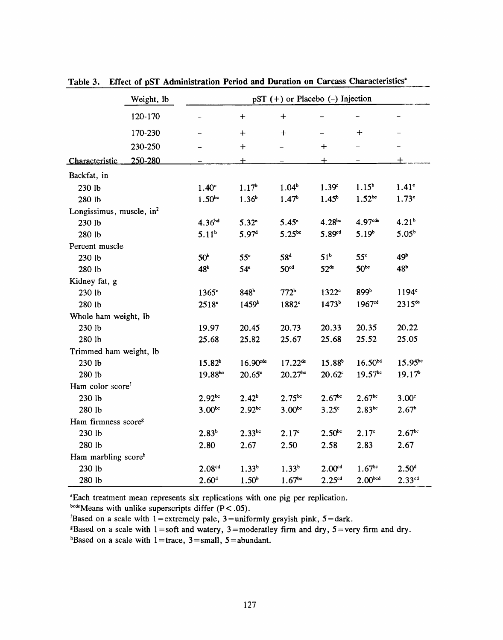|                                      | Weight, lb          | pST $(+)$ or Placebo $(-)$ Injection |                     |                     |                    |                     |                   |  |
|--------------------------------------|---------------------|--------------------------------------|---------------------|---------------------|--------------------|---------------------|-------------------|--|
|                                      | 120-170             |                                      | $\ddot{}$           | $\bm{+}$            |                    |                     |                   |  |
|                                      | 170-230             |                                      | $\div$              | $^{+}$              |                    | $\bm{+}$            |                   |  |
|                                      | 230-250             |                                      | $\pm$               |                     | $\ddag$            |                     |                   |  |
| <b>Characteristic</b>                | 250-280             |                                      | 土                   |                     | $\pm$              |                     | ┿                 |  |
| Backfat, in                          |                     |                                      |                     |                     |                    |                     |                   |  |
| 230 lb                               |                     | 1.40 <sup>c</sup>                    | 1.17 <sup>b</sup>   | $1.04^b$            | 1.39 <sup>c</sup>  | $1.15^b$            | 1.41 <sup>c</sup> |  |
| 280 lb                               |                     | $1.50^{bc}$                          | 1.36 <sup>b</sup>   | 1.47 <sup>b</sup>   | $1.45^{\circ}$     | $1.52^{bc}$         | 1.73 <sup>c</sup> |  |
| Longissimus, muscle, in <sup>2</sup> |                     |                                      |                     |                     |                    |                     |                   |  |
| 230 lb                               |                     | $4.36^{bd}$                          | $5.32$ <sup>e</sup> | $5.45^{\circ}$      | $4.28^{bc}$        | 4.97 <sup>ct</sup>  | 4.21 <sup>b</sup> |  |
| 280 lb                               |                     | 5.11 <sup>b</sup>                    | 5.97 <sup>d</sup>   | $5.25^{bc}$         | $5.89^{rd}$        | 5.19 <sup>b</sup>   | $5.05^{b}$        |  |
| Percent muscle                       |                     |                                      |                     |                     |                    |                     |                   |  |
| 230 lb                               |                     | 50 <sup>b</sup>                      | 55 <sup>c</sup>     | 58 <sup>d</sup>     | 51 <sup>b</sup>    | 55 <sup>c</sup>     | 49 <sup>b</sup>   |  |
| 280 lb                               |                     | 48 <sup>b</sup>                      | 54 <sup>e</sup>     | 50 <sup>cd</sup>    | $52^{\text{de}}$   | $50^{bc}$           | 48 <sup>b</sup>   |  |
| Kidney fat, g                        |                     |                                      |                     |                     |                    |                     |                   |  |
| 230 lb                               |                     | $1365^\circ$                         | 848 <sup>b</sup>    | 772 <sup>b</sup>    | 1322 <sup>c</sup>  | 899b                | 1194 <sup>c</sup> |  |
| 280 lb                               |                     | 2518°                                | 1459 <sup>b</sup>   | 1882 <sup>c</sup>   | 1473 <sup>b</sup>  | 1967 <sup>cd</sup>  | $2315^{de}$       |  |
| Whole ham weight, lb                 |                     |                                      |                     |                     |                    |                     |                   |  |
| 230 lb                               |                     | 19.97                                | 20.45               | 20.73               | 20.33              | 20.35               | 20.22             |  |
| 280 lb                               |                     | 25.68                                | 25.82               | 25.67               | 25.68              | 25.52               | 25.05             |  |
| Trimmed ham weight, lb               |                     |                                      |                     |                     |                    |                     |                   |  |
| 230 lb                               |                     | 15.82 <sup>b</sup>                   | 16.90 <sup>cd</sup> | $17.22^{\text{de}}$ | 15.88 <sup>b</sup> | $16.50^{bd}$        | $15.95^{bc}$      |  |
| 280 lb                               |                     | 19.88 <sup>bc</sup>                  | $20.65^\circ$       | $20.27^{bc}$        | $20.62^{\circ}$    | $19.57^{bc}$        | 19.17             |  |
| Ham color scoref                     |                     |                                      |                     |                     |                    |                     |                   |  |
| 230 lb                               |                     | $2.92^{bc}$                          | $2.42^b$            | $2.75^{bc}$         | $2.67^{bc}$        | $2.67^{bc}$         | 3.00 <sup>c</sup> |  |
| 280 lb                               |                     | $3.00^{bc}$                          | $2.92^{bc}$         | 3.00 <sup>bc</sup>  | 3.25 <sup>c</sup>  | $2.83^{bc}$         | 2.67 <sup>b</sup> |  |
| Ham firmness score <sup>8</sup>      |                     |                                      |                     |                     |                    |                     |                   |  |
| 230 lb                               |                     | 2.83 <sup>b</sup>                    | $2.33^{bc}$         | 2.17 <sup>c</sup>   | $2.50^{bc}$        | 2.17 <sup>c</sup>   | $2.67^{bc}$       |  |
| 280 lb                               |                     | 2.80                                 | 2.67                | 2.50                | 2.58               | 2.83                | 2.67              |  |
|                                      | Ham marbling scoreh |                                      |                     |                     |                    |                     |                   |  |
| 230 lb                               |                     | $2.08^{cd}$                          | $1.33^{b}$          | 1.33 <sup>b</sup>   | 2.00 <sup>cd</sup> | $1.67^{bc}$         | 2.50 <sup>d</sup> |  |
| 280 lb                               |                     | 2.60 <sup>d</sup>                    | 1.50 <sup>b</sup>   | $1.67^{bc}$         | 2.25 <sup>cd</sup> | 2.00 <sub>bcd</sub> | $2.33^{cd}$       |  |

Table 3. Effect of pST Administration Period and Duration on Carcass Characteristics<sup>4</sup>

<sup>a</sup>Each treatment mean represents six replications with one pig per replication.

bcdeMeans with unlike superscripts differ  $(P < .05)$ .

'Based on a scale with  $1 =$  extremely pale,  $3 =$  uniformly grayish pink,  $5 =$  dark.

<sup>8</sup>Based on a scale with  $1 = soft$  and watery,  $3 = moderate$  firm and dry,  $5 = very$  firm and dry.

<sup>h</sup>Based on a scale with 1=trace, 3=small, 5=abundant.